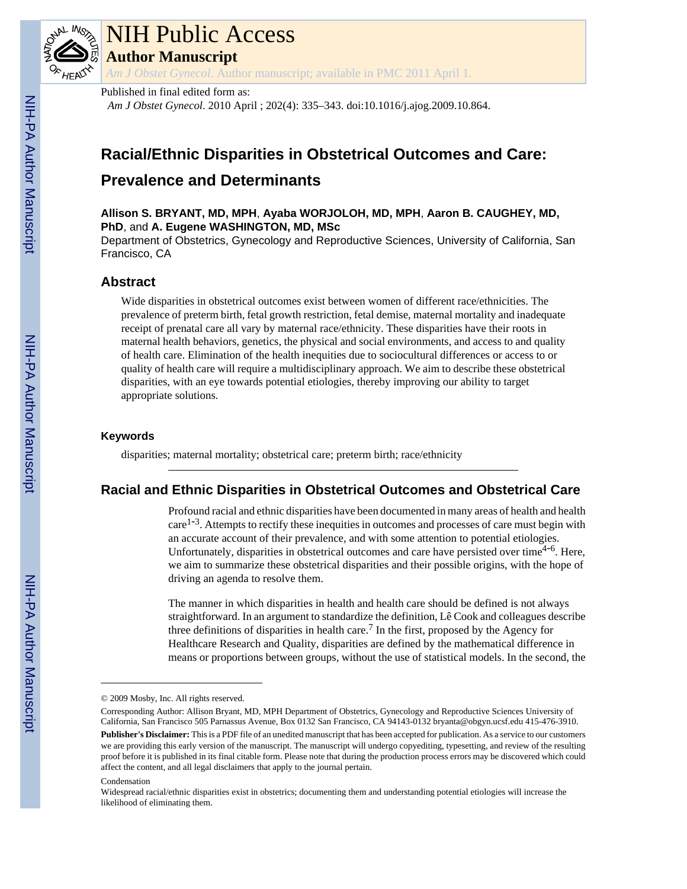

# NIH Public Access

**Author Manuscript**

*Am J Obstet Gynecol*. Author manuscript; available in PMC 2011 April 1.

#### Published in final edited form as:

*Am J Obstet Gynecol*. 2010 April ; 202(4): 335–343. doi:10.1016/j.ajog.2009.10.864.

## **Racial/Ethnic Disparities in Obstetrical Outcomes and Care:**

### **Prevalence and Determinants**

**Allison S. BRYANT, MD, MPH**, **Ayaba WORJOLOH, MD, MPH**, **Aaron B. CAUGHEY, MD, PhD**, and **A. Eugene WASHINGTON, MD, MSc**

Department of Obstetrics, Gynecology and Reproductive Sciences, University of California, San Francisco, CA

#### **Abstract**

Wide disparities in obstetrical outcomes exist between women of different race/ethnicities. The prevalence of preterm birth, fetal growth restriction, fetal demise, maternal mortality and inadequate receipt of prenatal care all vary by maternal race/ethnicity. These disparities have their roots in maternal health behaviors, genetics, the physical and social environments, and access to and quality of health care. Elimination of the health inequities due to sociocultural differences or access to or quality of health care will require a multidisciplinary approach. We aim to describe these obstetrical disparities, with an eye towards potential etiologies, thereby improving our ability to target appropriate solutions.

#### **Keywords**

disparities; maternal mortality; obstetrical care; preterm birth; race/ethnicity

#### **Racial and Ethnic Disparities in Obstetrical Outcomes and Obstetrical Care**

Profound racial and ethnic disparities have been documented in many areas of health and health care<sup>1-3</sup>. Attempts to rectify these inequities in outcomes and processes of care must begin with an accurate account of their prevalence, and with some attention to potential etiologies. Unfortunately, disparities in obstetrical outcomes and care have persisted over time<sup>4-6</sup>. Here, we aim to summarize these obstetrical disparities and their possible origins, with the hope of driving an agenda to resolve them.

The manner in which disparities in health and health care should be defined is not always straightforward. In an argument to standardize the definition, Lê Cook and colleagues describe three definitions of disparities in health care.<sup>7</sup> In the first, proposed by the Agency for Healthcare Research and Quality, disparities are defined by the mathematical difference in means or proportions between groups, without the use of statistical models. In the second, the

<sup>© 2009</sup> Mosby, Inc. All rights reserved.

Corresponding Author: Allison Bryant, MD, MPH Department of Obstetrics, Gynecology and Reproductive Sciences University of California, San Francisco 505 Parnassus Avenue, Box 0132 San Francisco, CA 94143-0132 bryanta@obgyn.ucsf.edu 415-476-3910. **Publisher's Disclaimer:** This is a PDF file of an unedited manuscript that has been accepted for publication. As a service to our customers we are providing this early version of the manuscript. The manuscript will undergo copyediting, typesetting, and review of the resulting proof before it is published in its final citable form. Please note that during the production process errors may be discovered which could affect the content, and all legal disclaimers that apply to the journal pertain.

Condensation

Widespread racial/ethnic disparities exist in obstetrics; documenting them and understanding potential etiologies will increase the likelihood of eliminating them.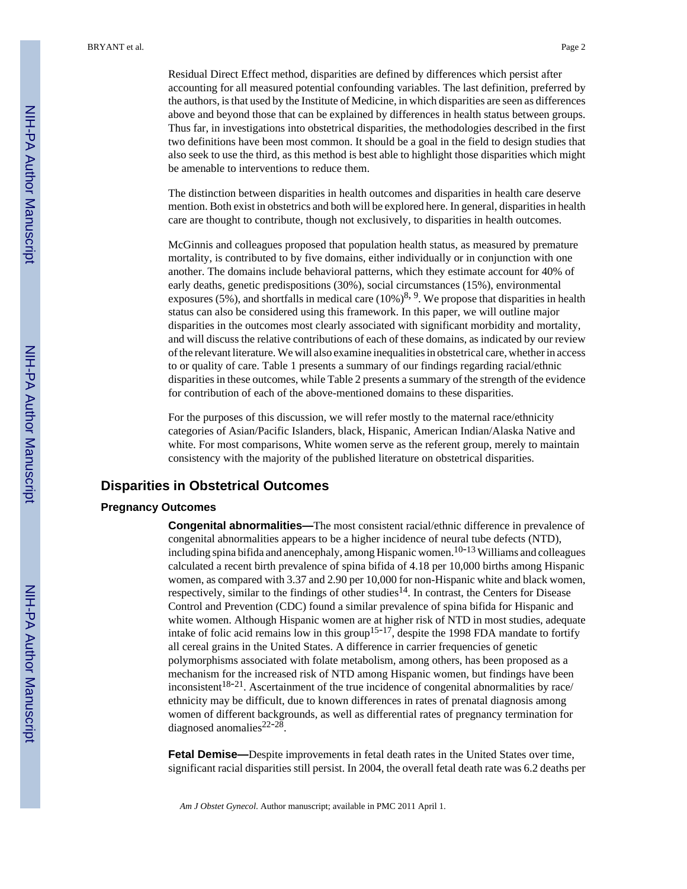Residual Direct Effect method, disparities are defined by differences which persist after accounting for all measured potential confounding variables. The last definition, preferred by the authors, is that used by the Institute of Medicine, in which disparities are seen as differences above and beyond those that can be explained by differences in health status between groups. Thus far, in investigations into obstetrical disparities, the methodologies described in the first two definitions have been most common. It should be a goal in the field to design studies that also seek to use the third, as this method is best able to highlight those disparities which might be amenable to interventions to reduce them.

The distinction between disparities in health outcomes and disparities in health care deserve mention. Both exist in obstetrics and both will be explored here. In general, disparities in health care are thought to contribute, though not exclusively, to disparities in health outcomes.

McGinnis and colleagues proposed that population health status, as measured by premature mortality, is contributed to by five domains, either individually or in conjunction with one another. The domains include behavioral patterns, which they estimate account for 40% of early deaths, genetic predispositions (30%), social circumstances (15%), environmental exposures (5%), and shortfalls in medical care  $(10\%)^{8, 9}$ . We propose that disparities in health status can also be considered using this framework. In this paper, we will outline major disparities in the outcomes most clearly associated with significant morbidity and mortality, and will discuss the relative contributions of each of these domains, as indicated by our review of the relevant literature. We will also examine inequalities in obstetrical care, whether in access to or quality of care. Table 1 presents a summary of our findings regarding racial/ethnic disparities in these outcomes, while Table 2 presents a summary of the strength of the evidence for contribution of each of the above-mentioned domains to these disparities.

For the purposes of this discussion, we will refer mostly to the maternal race/ethnicity categories of Asian/Pacific Islanders, black, Hispanic, American Indian/Alaska Native and white. For most comparisons, White women serve as the referent group, merely to maintain consistency with the majority of the published literature on obstetrical disparities.

#### **Disparities in Obstetrical Outcomes**

#### **Pregnancy Outcomes**

**Congenital abnormalities—**The most consistent racial/ethnic difference in prevalence of congenital abnormalities appears to be a higher incidence of neural tube defects (NTD), including spina bifida and anencephaly, among Hispanic women.<sup>10-13</sup> Williams and colleagues calculated a recent birth prevalence of spina bifida of 4.18 per 10,000 births among Hispanic women, as compared with 3.37 and 2.90 per 10,000 for non-Hispanic white and black women, respectively, similar to the findings of other studies<sup>14</sup>. In contrast, the Centers for Disease Control and Prevention (CDC) found a similar prevalence of spina bifida for Hispanic and white women. Although Hispanic women are at higher risk of NTD in most studies, adequate intake of folic acid remains low in this group15-17, despite the 1998 FDA mandate to fortify all cereal grains in the United States. A difference in carrier frequencies of genetic polymorphisms associated with folate metabolism, among others, has been proposed as a mechanism for the increased risk of NTD among Hispanic women, but findings have been inconsistent<sup>18-21</sup>. Ascertainment of the true incidence of congenital abnormalities by race/ ethnicity may be difficult, due to known differences in rates of prenatal diagnosis among women of different backgrounds, as well as differential rates of pregnancy termination for diagnosed anomalies<sup>22-28</sup>.

**Fetal Demise—**Despite improvements in fetal death rates in the United States over time, significant racial disparities still persist. In 2004, the overall fetal death rate was 6.2 deaths per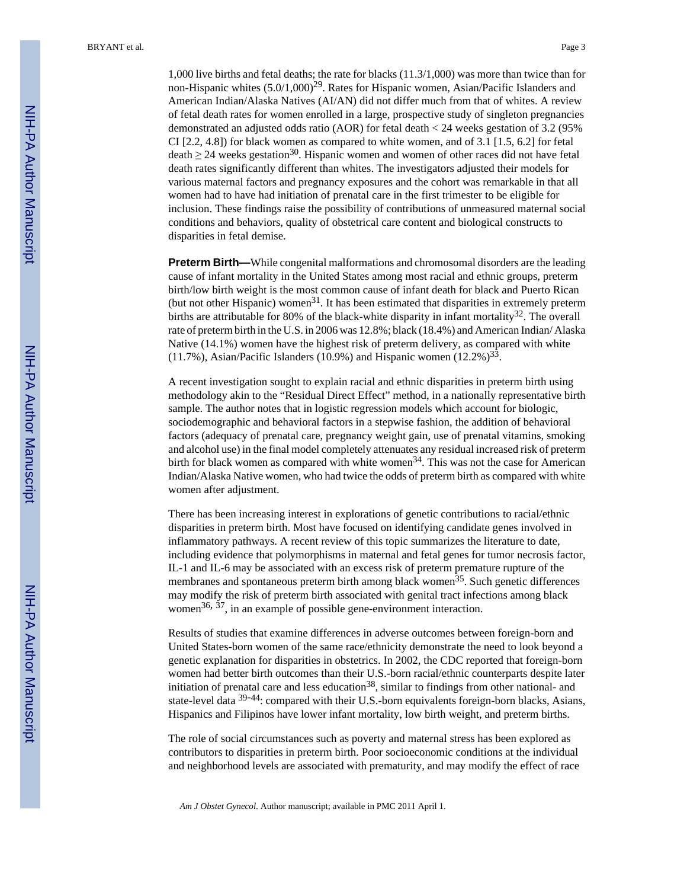BRYANT et al. Page 3

1,000 live births and fetal deaths; the rate for blacks (11.3/1,000) was more than twice than for non-Hispanic whites  $(5.0/1,000)^{29}$ . Rates for Hispanic women, Asian/Pacific Islanders and American Indian/Alaska Natives (AI/AN) did not differ much from that of whites. A review of fetal death rates for women enrolled in a large, prospective study of singleton pregnancies demonstrated an adjusted odds ratio (AOR) for fetal death < 24 weeks gestation of 3.2 (95% CI [2.2, 4.8]) for black women as compared to white women, and of 3.1 [1.5, 6.2] for fetal  $\text{death} \geq 24$  weeks gestation<sup>30</sup>. Hispanic women and women of other races did not have fetal death rates significantly different than whites. The investigators adjusted their models for various maternal factors and pregnancy exposures and the cohort was remarkable in that all women had to have had initiation of prenatal care in the first trimester to be eligible for inclusion. These findings raise the possibility of contributions of unmeasured maternal social conditions and behaviors, quality of obstetrical care content and biological constructs to disparities in fetal demise.

**Preterm Birth—**While congenital malformations and chromosomal disorders are the leading cause of infant mortality in the United States among most racial and ethnic groups, preterm birth/low birth weight is the most common cause of infant death for black and Puerto Rican (but not other Hispanic) women<sup>31</sup>. It has been estimated that disparities in extremely preterm births are attributable for 80% of the black-white disparity in infant mortality<sup>32</sup>. The overall rate of preterm birth in the U.S. in 2006 was 12.8%; black (18.4%) and American Indian/ Alaska Native (14.1%) women have the highest risk of preterm delivery, as compared with white (11.7%), Asian/Pacific Islanders (10.9%) and Hispanic women  $(12.2\%)^{33}$ .

A recent investigation sought to explain racial and ethnic disparities in preterm birth using methodology akin to the "Residual Direct Effect" method, in a nationally representative birth sample. The author notes that in logistic regression models which account for biologic, sociodemographic and behavioral factors in a stepwise fashion, the addition of behavioral factors (adequacy of prenatal care, pregnancy weight gain, use of prenatal vitamins, smoking and alcohol use) in the final model completely attenuates any residual increased risk of preterm birth for black women as compared with white women<sup>34</sup>. This was not the case for American Indian/Alaska Native women, who had twice the odds of preterm birth as compared with white women after adjustment.

There has been increasing interest in explorations of genetic contributions to racial/ethnic disparities in preterm birth. Most have focused on identifying candidate genes involved in inflammatory pathways. A recent review of this topic summarizes the literature to date, including evidence that polymorphisms in maternal and fetal genes for tumor necrosis factor, IL-1 and IL-6 may be associated with an excess risk of preterm premature rupture of the membranes and spontaneous preterm birth among black women<sup>35</sup>. Such genetic differences may modify the risk of preterm birth associated with genital tract infections among black women<sup>36, 37</sup>, in an example of possible gene-environment interaction.

Results of studies that examine differences in adverse outcomes between foreign-born and United States-born women of the same race/ethnicity demonstrate the need to look beyond a genetic explanation for disparities in obstetrics. In 2002, the CDC reported that foreign-born women had better birth outcomes than their U.S.-born racial/ethnic counterparts despite later initiation of prenatal care and less education<sup>38</sup>, similar to findings from other national- and state-level data <sup>39-44</sup>: compared with their U.S.-born equivalents foreign-born blacks, Asians, Hispanics and Filipinos have lower infant mortality, low birth weight, and preterm births.

The role of social circumstances such as poverty and maternal stress has been explored as contributors to disparities in preterm birth. Poor socioeconomic conditions at the individual and neighborhood levels are associated with prematurity, and may modify the effect of race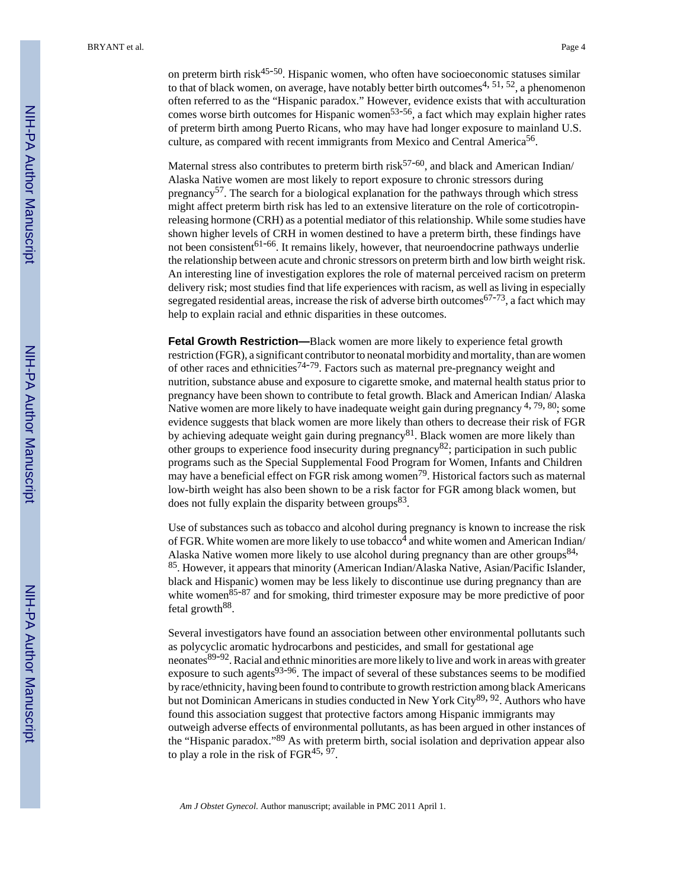on preterm birth risk $45-50$ . Hispanic women, who often have socioeconomic statuses similar to that of black women, on average, have notably better birth outcomes<sup>4, 51, 52</sup>, a phenomenon often referred to as the "Hispanic paradox." However, evidence exists that with acculturation comes worse birth outcomes for Hispanic women<sup>53-56</sup>, a fact which may explain higher rates of preterm birth among Puerto Ricans, who may have had longer exposure to mainland U.S. culture, as compared with recent immigrants from Mexico and Central America<sup>56</sup>.

Maternal stress also contributes to preterm birth risk $57-60$ , and black and American Indian/ Alaska Native women are most likely to report exposure to chronic stressors during pregnancy<sup>57</sup>. The search for a biological explanation for the pathways through which stress might affect preterm birth risk has led to an extensive literature on the role of corticotropinreleasing hormone (CRH) as a potential mediator of this relationship. While some studies have shown higher levels of CRH in women destined to have a preterm birth, these findings have not been consistent<sup>61-66</sup>. It remains likely, however, that neuroendocrine pathways underlie the relationship between acute and chronic stressors on preterm birth and low birth weight risk. An interesting line of investigation explores the role of maternal perceived racism on preterm delivery risk; most studies find that life experiences with racism, as well as living in especially segregated residential areas, increase the risk of adverse birth outcomes<sup>67-73</sup>, a fact which may help to explain racial and ethnic disparities in these outcomes.

**Fetal Growth Restriction—**Black women are more likely to experience fetal growth restriction (FGR), a significant contributor to neonatal morbidity and mortality, than are women of other races and ethnicities<sup>74-79</sup>. Factors such as maternal pre-pregnancy weight and nutrition, substance abuse and exposure to cigarette smoke, and maternal health status prior to pregnancy have been shown to contribute to fetal growth. Black and American Indian/ Alaska Native women are more likely to have inadequate weight gain during pregnancy <sup>4, 79, 80</sup>; some evidence suggests that black women are more likely than others to decrease their risk of FGR by achieving adequate weight gain during pregnancy<sup>81</sup>. Black women are more likely than other groups to experience food insecurity during pregnancy<sup>82</sup>; participation in such public programs such as the Special Supplemental Food Program for Women, Infants and Children may have a beneficial effect on FGR risk among women<sup>79</sup>. Historical factors such as maternal low-birth weight has also been shown to be a risk factor for FGR among black women, but does not fully explain the disparity between groups<sup>83</sup>.

Use of substances such as tobacco and alcohol during pregnancy is known to increase the risk of FGR. White women are more likely to use tobacco<sup>4</sup> and white women and American Indian/ Alaska Native women more likely to use alcohol during pregnancy than are other groups<sup>84,</sup> <sup>85</sup>. However, it appears that minority (American Indian/Alaska Native, Asian/Pacific Islander, black and Hispanic) women may be less likely to discontinue use during pregnancy than are white women $85-87$  and for smoking, third trimester exposure may be more predictive of poor fetal growth<sup>88</sup>.

Several investigators have found an association between other environmental pollutants such as polycyclic aromatic hydrocarbons and pesticides, and small for gestational age neonates<sup>89-92</sup>. Racial and ethnic minorities are more likely to live and work in areas with greater exposure to such agents $93-96$ . The impact of several of these substances seems to be modified by race/ethnicity, having been found to contribute to growth restriction among black Americans but not Dominican Americans in studies conducted in New York City<sup>89, 92</sup>. Authors who have found this association suggest that protective factors among Hispanic immigrants may outweigh adverse effects of environmental pollutants, as has been argued in other instances of the "Hispanic paradox."89 As with preterm birth, social isolation and deprivation appear also to play a role in the risk of  $FGR^{45, 97}$ .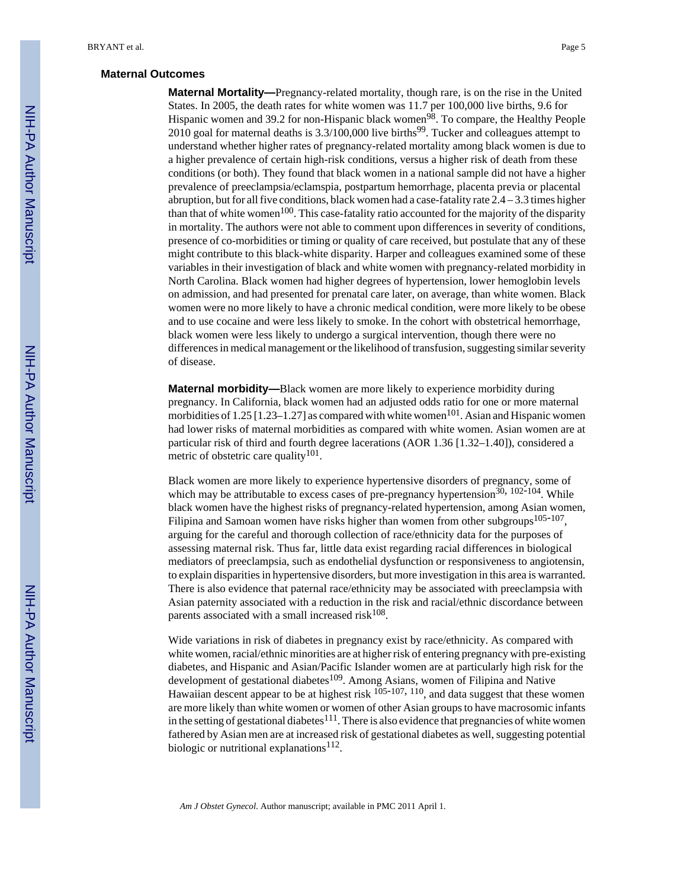#### **Maternal Outcomes**

**Maternal Mortality—**Pregnancy-related mortality, though rare, is on the rise in the United States. In 2005, the death rates for white women was 11.7 per 100,000 live births, 9.6 for Hispanic women and 39.2 for non-Hispanic black women<sup>98</sup>. To compare, the Healthy People 2010 goal for maternal deaths is  $3.3/100,000$  live births<sup>99</sup>. Tucker and colleagues attempt to understand whether higher rates of pregnancy-related mortality among black women is due to a higher prevalence of certain high-risk conditions, versus a higher risk of death from these conditions (or both). They found that black women in a national sample did not have a higher prevalence of preeclampsia/eclamspia, postpartum hemorrhage, placenta previa or placental abruption, but for all five conditions, black women had a case-fatality rate 2.4 – 3.3 times higher than that of white women<sup>100</sup>. This case-fatality ratio accounted for the majority of the disparity in mortality. The authors were not able to comment upon differences in severity of conditions, presence of co-morbidities or timing or quality of care received, but postulate that any of these might contribute to this black-white disparity. Harper and colleagues examined some of these variables in their investigation of black and white women with pregnancy-related morbidity in North Carolina. Black women had higher degrees of hypertension, lower hemoglobin levels on admission, and had presented for prenatal care later, on average, than white women. Black women were no more likely to have a chronic medical condition, were more likely to be obese and to use cocaine and were less likely to smoke. In the cohort with obstetrical hemorrhage, black women were less likely to undergo a surgical intervention, though there were no differences in medical management or the likelihood of transfusion, suggesting similar severity of disease.

**Maternal morbidity—**Black women are more likely to experience morbidity during pregnancy. In California, black women had an adjusted odds ratio for one or more maternal morbidities of  $1.25$  [1.23–1.27] as compared with white women<sup>101</sup>. Asian and Hispanic women had lower risks of maternal morbidities as compared with white women. Asian women are at particular risk of third and fourth degree lacerations (AOR 1.36 [1.32–1.40]), considered a metric of obstetric care quality<sup>101</sup>.

Black women are more likely to experience hypertensive disorders of pregnancy, some of which may be attributable to excess cases of pre-pregnancy hypertension<sup>30, 102-104</sup>. While black women have the highest risks of pregnancy-related hypertension, among Asian women, Filipina and Samoan women have risks higher than women from other subgroups<sup>105-107</sup>, arguing for the careful and thorough collection of race/ethnicity data for the purposes of assessing maternal risk. Thus far, little data exist regarding racial differences in biological mediators of preeclampsia, such as endothelial dysfunction or responsiveness to angiotensin, to explain disparities in hypertensive disorders, but more investigation in this area is warranted. There is also evidence that paternal race/ethnicity may be associated with preeclampsia with Asian paternity associated with a reduction in the risk and racial/ethnic discordance between parents associated with a small increased risk $108$ .

Wide variations in risk of diabetes in pregnancy exist by race/ethnicity. As compared with white women, racial/ethnic minorities are at higher risk of entering pregnancy with pre-existing diabetes, and Hispanic and Asian/Pacific Islander women are at particularly high risk for the development of gestational diabetes<sup>109</sup>. Among Asians, women of Filipina and Native Hawaiian descent appear to be at highest risk  $105-107$ ,  $110$ , and data suggest that these women are more likely than white women or women of other Asian groups to have macrosomic infants in the setting of gestational diabetes<sup>111</sup>. There is also evidence that pregnancies of white women fathered by Asian men are at increased risk of gestational diabetes as well, suggesting potential biologic or nutritional explanations<sup>112</sup>.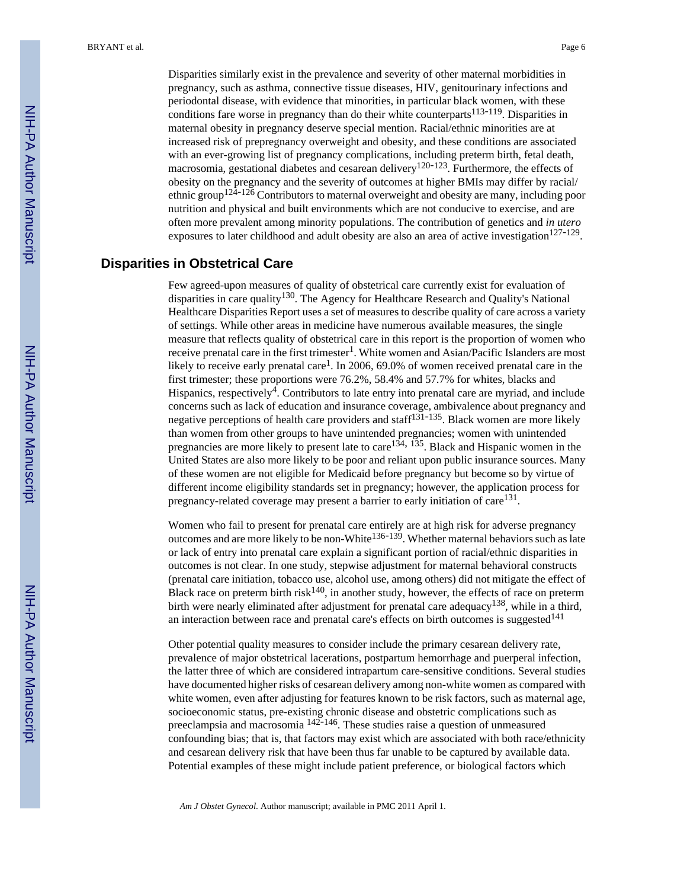Disparities similarly exist in the prevalence and severity of other maternal morbidities in pregnancy, such as asthma, connective tissue diseases, HIV, genitourinary infections and periodontal disease, with evidence that minorities, in particular black women, with these conditions fare worse in pregnancy than do their white counterparts<sup>113-119</sup>. Disparities in maternal obesity in pregnancy deserve special mention. Racial/ethnic minorities are at increased risk of prepregnancy overweight and obesity, and these conditions are associated with an ever-growing list of pregnancy complications, including preterm birth, fetal death, macrosomia, gestational diabetes and cesarean delivery<sup>120-123</sup>. Furthermore, the effects of obesity on the pregnancy and the severity of outcomes at higher BMIs may differ by racial/ ethnic group<sup>124-126</sup> Contributors to maternal overweight and obesity are many, including poor nutrition and physical and built environments which are not conducive to exercise, and are often more prevalent among minority populations. The contribution of genetics and *in utero* exposures to later childhood and adult obesity are also an area of active investigation<sup>127-129</sup>.

#### **Disparities in Obstetrical Care**

Few agreed-upon measures of quality of obstetrical care currently exist for evaluation of disparities in care quality<sup>130</sup>. The Agency for Healthcare Research and Quality's National Healthcare Disparities Report uses a set of measures to describe quality of care across a variety of settings. While other areas in medicine have numerous available measures, the single measure that reflects quality of obstetrical care in this report is the proportion of women who receive prenatal care in the first trimester<sup>1</sup>. White women and Asian/Pacific Islanders are most likely to receive early prenatal care<sup>1</sup>. In 2006, 69.0% of women received prenatal care in the first trimester; these proportions were 76.2%, 58.4% and 57.7% for whites, blacks and Hispanics, respectively<sup>4</sup>. Contributors to late entry into prenatal care are myriad, and include concerns such as lack of education and insurance coverage, ambivalence about pregnancy and negative perceptions of health care providers and staff<sup>131-135</sup>. Black women are more likely than women from other groups to have unintended pregnancies; women with unintended pregnancies are more likely to present late to care<sup>134, 135</sup>. Black and Hispanic women in the United States are also more likely to be poor and reliant upon public insurance sources. Many of these women are not eligible for Medicaid before pregnancy but become so by virtue of different income eligibility standards set in pregnancy; however, the application process for pregnancy-related coverage may present a barrier to early initiation of care  $131$ .

Women who fail to present for prenatal care entirely are at high risk for adverse pregnancy outcomes and are more likely to be non-White136-139. Whether maternal behaviors such as late or lack of entry into prenatal care explain a significant portion of racial/ethnic disparities in outcomes is not clear. In one study, stepwise adjustment for maternal behavioral constructs (prenatal care initiation, tobacco use, alcohol use, among others) did not mitigate the effect of Black race on preterm birth risk<sup>140</sup>, in another study, however, the effects of race on preterm birth were nearly eliminated after adjustment for prenatal care adequacy<sup>138</sup>, while in a third, an interaction between race and prenatal care's effects on birth outcomes is suggested<sup>141</sup>

Other potential quality measures to consider include the primary cesarean delivery rate, prevalence of major obstetrical lacerations, postpartum hemorrhage and puerperal infection, the latter three of which are considered intrapartum care-sensitive conditions. Several studies have documented higher risks of cesarean delivery among non-white women as compared with white women, even after adjusting for features known to be risk factors, such as maternal age, socioeconomic status, pre-existing chronic disease and obstetric complications such as preeclampsia and macrosomia 142-146. These studies raise a question of unmeasured confounding bias; that is, that factors may exist which are associated with both race/ethnicity and cesarean delivery risk that have been thus far unable to be captured by available data. Potential examples of these might include patient preference, or biological factors which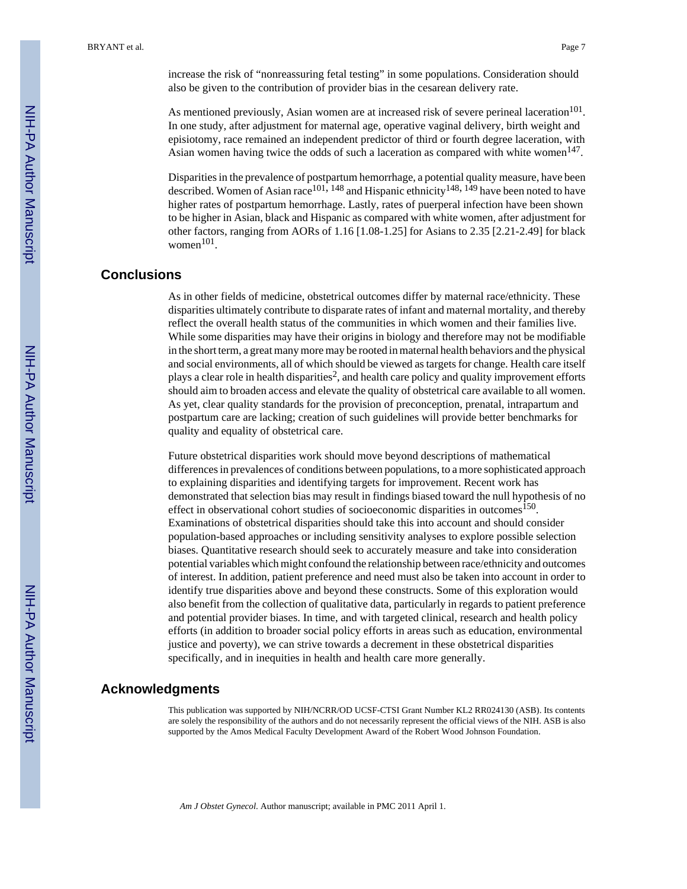increase the risk of "nonreassuring fetal testing" in some populations. Consideration should also be given to the contribution of provider bias in the cesarean delivery rate.

As mentioned previously, Asian women are at increased risk of severe perineal laceration<sup>101</sup>. In one study, after adjustment for maternal age, operative vaginal delivery, birth weight and episiotomy, race remained an independent predictor of third or fourth degree laceration, with Asian women having twice the odds of such a laceration as compared with white women $147$ .

Disparities in the prevalence of postpartum hemorrhage, a potential quality measure, have been described. Women of Asian race<sup>101, 148</sup> and Hispanic ethnicity<sup>148, 149</sup> have been noted to have higher rates of postpartum hemorrhage. Lastly, rates of puerperal infection have been shown to be higher in Asian, black and Hispanic as compared with white women, after adjustment for other factors, ranging from AORs of 1.16 [1.08-1.25] for Asians to 2.35 [2.21-2.49] for black  $women<sup>101</sup>$ .

#### **Conclusions**

As in other fields of medicine, obstetrical outcomes differ by maternal race/ethnicity. These disparities ultimately contribute to disparate rates of infant and maternal mortality, and thereby reflect the overall health status of the communities in which women and their families live. While some disparities may have their origins in biology and therefore may not be modifiable in the short term, a great many more may be rooted in maternal health behaviors and the physical and social environments, all of which should be viewed as targets for change. Health care itself plays a clear role in health disparities<sup>2</sup>, and health care policy and quality improvement efforts should aim to broaden access and elevate the quality of obstetrical care available to all women. As yet, clear quality standards for the provision of preconception, prenatal, intrapartum and postpartum care are lacking; creation of such guidelines will provide better benchmarks for quality and equality of obstetrical care.

Future obstetrical disparities work should move beyond descriptions of mathematical differences in prevalences of conditions between populations, to a more sophisticated approach to explaining disparities and identifying targets for improvement. Recent work has demonstrated that selection bias may result in findings biased toward the null hypothesis of no effect in observational cohort studies of socioeconomic disparities in outcomes<sup>150</sup>. Examinations of obstetrical disparities should take this into account and should consider population-based approaches or including sensitivity analyses to explore possible selection biases. Quantitative research should seek to accurately measure and take into consideration potential variables which might confound the relationship between race/ethnicity and outcomes of interest. In addition, patient preference and need must also be taken into account in order to identify true disparities above and beyond these constructs. Some of this exploration would also benefit from the collection of qualitative data, particularly in regards to patient preference and potential provider biases. In time, and with targeted clinical, research and health policy efforts (in addition to broader social policy efforts in areas such as education, environmental justice and poverty), we can strive towards a decrement in these obstetrical disparities specifically, and in inequities in health and health care more generally.

#### **Acknowledgments**

This publication was supported by NIH/NCRR/OD UCSF-CTSI Grant Number KL2 RR024130 (ASB). Its contents are solely the responsibility of the authors and do not necessarily represent the official views of the NIH. ASB is also supported by the Amos Medical Faculty Development Award of the Robert Wood Johnson Foundation.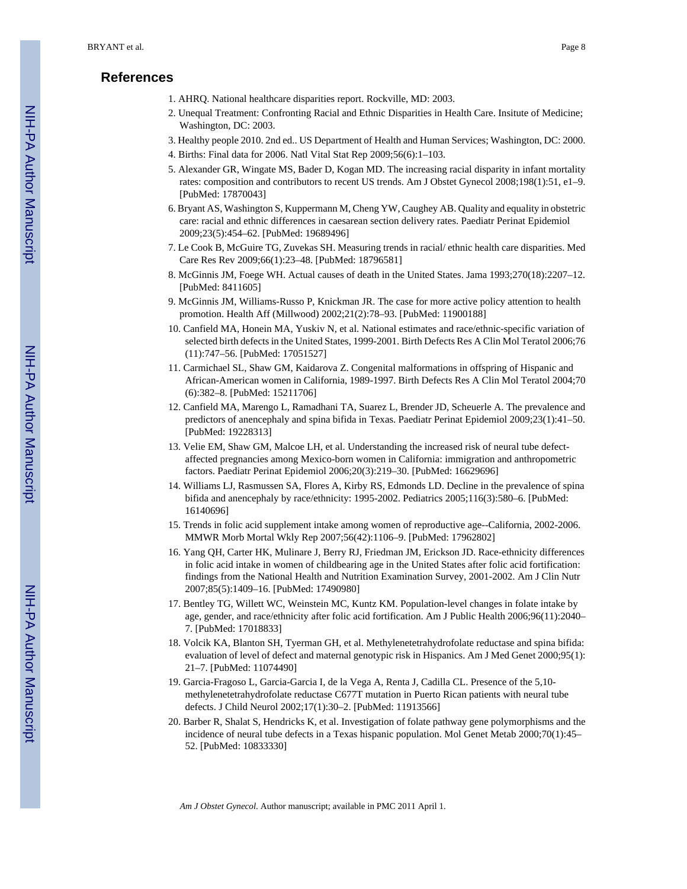#### **References**

- 1. AHRQ. National healthcare disparities report. Rockville, MD: 2003.
- 2. Unequal Treatment: Confronting Racial and Ethnic Disparities in Health Care. Insitute of Medicine; Washington, DC: 2003.
- 3. Healthy people 2010. 2nd ed.. US Department of Health and Human Services; Washington, DC: 2000.
- 4. Births: Final data for 2006. Natl Vital Stat Rep 2009;56(6):1–103.
- 5. Alexander GR, Wingate MS, Bader D, Kogan MD. The increasing racial disparity in infant mortality rates: composition and contributors to recent US trends. Am J Obstet Gynecol 2008;198(1):51, e1–9. [PubMed: 17870043]
- 6. Bryant AS, Washington S, Kuppermann M, Cheng YW, Caughey AB. Quality and equality in obstetric care: racial and ethnic differences in caesarean section delivery rates. Paediatr Perinat Epidemiol 2009;23(5):454–62. [PubMed: 19689496]
- 7. Le Cook B, McGuire TG, Zuvekas SH. Measuring trends in racial/ ethnic health care disparities. Med Care Res Rev 2009;66(1):23–48. [PubMed: 18796581]
- 8. McGinnis JM, Foege WH. Actual causes of death in the United States. Jama 1993;270(18):2207–12. [PubMed: 8411605]
- 9. McGinnis JM, Williams-Russo P, Knickman JR. The case for more active policy attention to health promotion. Health Aff (Millwood) 2002;21(2):78–93. [PubMed: 11900188]
- 10. Canfield MA, Honein MA, Yuskiv N, et al. National estimates and race/ethnic-specific variation of selected birth defects in the United States, 1999-2001. Birth Defects Res A Clin Mol Teratol 2006;76 (11):747–56. [PubMed: 17051527]
- 11. Carmichael SL, Shaw GM, Kaidarova Z. Congenital malformations in offspring of Hispanic and African-American women in California, 1989-1997. Birth Defects Res A Clin Mol Teratol 2004;70 (6):382–8. [PubMed: 15211706]
- 12. Canfield MA, Marengo L, Ramadhani TA, Suarez L, Brender JD, Scheuerle A. The prevalence and predictors of anencephaly and spina bifida in Texas. Paediatr Perinat Epidemiol 2009;23(1):41–50. [PubMed: 19228313]
- 13. Velie EM, Shaw GM, Malcoe LH, et al. Understanding the increased risk of neural tube defectaffected pregnancies among Mexico-born women in California: immigration and anthropometric factors. Paediatr Perinat Epidemiol 2006;20(3):219–30. [PubMed: 16629696]
- 14. Williams LJ, Rasmussen SA, Flores A, Kirby RS, Edmonds LD. Decline in the prevalence of spina bifida and anencephaly by race/ethnicity: 1995-2002. Pediatrics 2005;116(3):580–6. [PubMed: 16140696]
- 15. Trends in folic acid supplement intake among women of reproductive age--California, 2002-2006. MMWR Morb Mortal Wkly Rep 2007;56(42):1106–9. [PubMed: 17962802]
- 16. Yang QH, Carter HK, Mulinare J, Berry RJ, Friedman JM, Erickson JD. Race-ethnicity differences in folic acid intake in women of childbearing age in the United States after folic acid fortification: findings from the National Health and Nutrition Examination Survey, 2001-2002. Am J Clin Nutr 2007;85(5):1409–16. [PubMed: 17490980]
- 17. Bentley TG, Willett WC, Weinstein MC, Kuntz KM. Population-level changes in folate intake by age, gender, and race/ethnicity after folic acid fortification. Am J Public Health 2006;96(11):2040– 7. [PubMed: 17018833]
- 18. Volcik KA, Blanton SH, Tyerman GH, et al. Methylenetetrahydrofolate reductase and spina bifida: evaluation of level of defect and maternal genotypic risk in Hispanics. Am J Med Genet 2000;95(1): 21–7. [PubMed: 11074490]
- 19. Garcia-Fragoso L, Garcia-Garcia I, de la Vega A, Renta J, Cadilla CL. Presence of the 5,10 methylenetetrahydrofolate reductase C677T mutation in Puerto Rican patients with neural tube defects. J Child Neurol 2002;17(1):30–2. [PubMed: 11913566]
- 20. Barber R, Shalat S, Hendricks K, et al. Investigation of folate pathway gene polymorphisms and the incidence of neural tube defects in a Texas hispanic population. Mol Genet Metab 2000;70(1):45– 52. [PubMed: 10833330]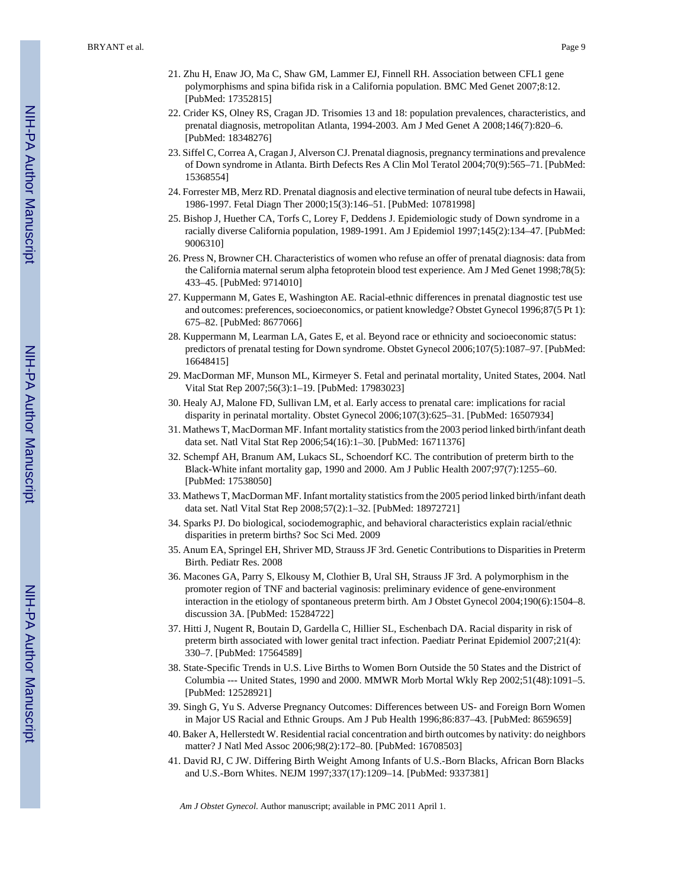- 21. Zhu H, Enaw JO, Ma C, Shaw GM, Lammer EJ, Finnell RH. Association between CFL1 gene polymorphisms and spina bifida risk in a California population. BMC Med Genet 2007;8:12. [PubMed: 17352815]
- 22. Crider KS, Olney RS, Cragan JD. Trisomies 13 and 18: population prevalences, characteristics, and prenatal diagnosis, metropolitan Atlanta, 1994-2003. Am J Med Genet A 2008;146(7):820–6. [PubMed: 18348276]
- 23. Siffel C, Correa A, Cragan J, Alverson CJ. Prenatal diagnosis, pregnancy terminations and prevalence of Down syndrome in Atlanta. Birth Defects Res A Clin Mol Teratol 2004;70(9):565–71. [PubMed: 15368554]
- 24. Forrester MB, Merz RD. Prenatal diagnosis and elective termination of neural tube defects in Hawaii, 1986-1997. Fetal Diagn Ther 2000;15(3):146–51. [PubMed: 10781998]
- 25. Bishop J, Huether CA, Torfs C, Lorey F, Deddens J. Epidemiologic study of Down syndrome in a racially diverse California population, 1989-1991. Am J Epidemiol 1997;145(2):134–47. [PubMed: 9006310]
- 26. Press N, Browner CH. Characteristics of women who refuse an offer of prenatal diagnosis: data from the California maternal serum alpha fetoprotein blood test experience. Am J Med Genet 1998;78(5): 433–45. [PubMed: 9714010]
- 27. Kuppermann M, Gates E, Washington AE. Racial-ethnic differences in prenatal diagnostic test use and outcomes: preferences, socioeconomics, or patient knowledge? Obstet Gynecol 1996;87(5 Pt 1): 675–82. [PubMed: 8677066]
- 28. Kuppermann M, Learman LA, Gates E, et al. Beyond race or ethnicity and socioeconomic status: predictors of prenatal testing for Down syndrome. Obstet Gynecol 2006;107(5):1087–97. [PubMed: 16648415]
- 29. MacDorman MF, Munson ML, Kirmeyer S. Fetal and perinatal mortality, United States, 2004. Natl Vital Stat Rep 2007;56(3):1–19. [PubMed: 17983023]
- 30. Healy AJ, Malone FD, Sullivan LM, et al. Early access to prenatal care: implications for racial disparity in perinatal mortality. Obstet Gynecol 2006;107(3):625–31. [PubMed: 16507934]
- 31. Mathews T, MacDorman MF. Infant mortality statistics from the 2003 period linked birth/infant death data set. Natl Vital Stat Rep 2006;54(16):1–30. [PubMed: 16711376]
- 32. Schempf AH, Branum AM, Lukacs SL, Schoendorf KC. The contribution of preterm birth to the Black-White infant mortality gap, 1990 and 2000. Am J Public Health 2007;97(7):1255–60. [PubMed: 17538050]
- 33. Mathews T, MacDorman MF. Infant mortality statistics from the 2005 period linked birth/infant death data set. Natl Vital Stat Rep 2008;57(2):1–32. [PubMed: 18972721]
- 34. Sparks PJ. Do biological, sociodemographic, and behavioral characteristics explain racial/ethnic disparities in preterm births? Soc Sci Med. 2009
- 35. Anum EA, Springel EH, Shriver MD, Strauss JF 3rd. Genetic Contributions to Disparities in Preterm Birth. Pediatr Res. 2008
- 36. Macones GA, Parry S, Elkousy M, Clothier B, Ural SH, Strauss JF 3rd. A polymorphism in the promoter region of TNF and bacterial vaginosis: preliminary evidence of gene-environment interaction in the etiology of spontaneous preterm birth. Am J Obstet Gynecol 2004;190(6):1504–8. discussion 3A. [PubMed: 15284722]
- 37. Hitti J, Nugent R, Boutain D, Gardella C, Hillier SL, Eschenbach DA. Racial disparity in risk of preterm birth associated with lower genital tract infection. Paediatr Perinat Epidemiol 2007;21(4): 330–7. [PubMed: 17564589]
- 38. State-Specific Trends in U.S. Live Births to Women Born Outside the 50 States and the District of Columbia --- United States, 1990 and 2000. MMWR Morb Mortal Wkly Rep 2002;51(48):1091–5. [PubMed: 12528921]
- 39. Singh G, Yu S. Adverse Pregnancy Outcomes: Differences between US- and Foreign Born Women in Major US Racial and Ethnic Groups. Am J Pub Health 1996;86:837–43. [PubMed: 8659659]
- 40. Baker A, Hellerstedt W. Residential racial concentration and birth outcomes by nativity: do neighbors matter? J Natl Med Assoc 2006;98(2):172–80. [PubMed: 16708503]
- 41. David RJ, C JW. Differing Birth Weight Among Infants of U.S.-Born Blacks, African Born Blacks and U.S.-Born Whites. NEJM 1997;337(17):1209–14. [PubMed: 9337381]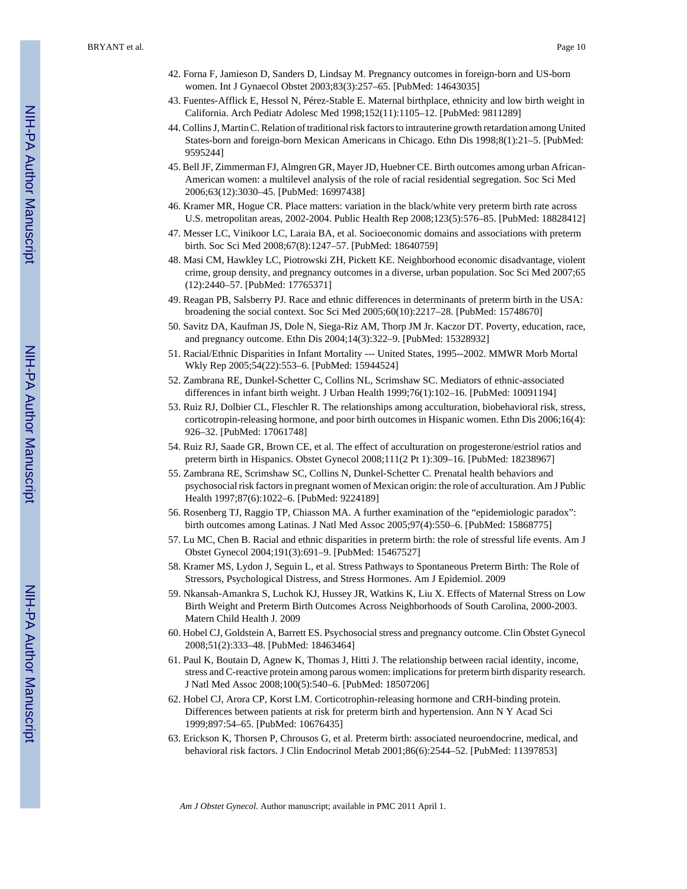BRYANT et al. Page 10

- 42. Forna F, Jamieson D, Sanders D, Lindsay M. Pregnancy outcomes in foreign-born and US-born women. Int J Gynaecol Obstet 2003;83(3):257–65. [PubMed: 14643035]
- 43. Fuentes-Afflick E, Hessol N, Pérez-Stable E. Maternal birthplace, ethnicity and low birth weight in California. Arch Pediatr Adolesc Med 1998;152(11):1105–12. [PubMed: 9811289]
- 44. Collins J, Martin C. Relation of traditional risk factors to intrauterine growth retardation among United States-born and foreign-born Mexican Americans in Chicago. Ethn Dis 1998;8(1):21–5. [PubMed: 9595244]
- 45. Bell JF, Zimmerman FJ, Almgren GR, Mayer JD, Huebner CE. Birth outcomes among urban African-American women: a multilevel analysis of the role of racial residential segregation. Soc Sci Med 2006;63(12):3030–45. [PubMed: 16997438]
- 46. Kramer MR, Hogue CR. Place matters: variation in the black/white very preterm birth rate across U.S. metropolitan areas, 2002-2004. Public Health Rep 2008;123(5):576–85. [PubMed: 18828412]
- 47. Messer LC, Vinikoor LC, Laraia BA, et al. Socioeconomic domains and associations with preterm birth. Soc Sci Med 2008;67(8):1247–57. [PubMed: 18640759]
- 48. Masi CM, Hawkley LC, Piotrowski ZH, Pickett KE. Neighborhood economic disadvantage, violent crime, group density, and pregnancy outcomes in a diverse, urban population. Soc Sci Med 2007;65 (12):2440–57. [PubMed: 17765371]
- 49. Reagan PB, Salsberry PJ. Race and ethnic differences in determinants of preterm birth in the USA: broadening the social context. Soc Sci Med 2005;60(10):2217–28. [PubMed: 15748670]
- 50. Savitz DA, Kaufman JS, Dole N, Siega-Riz AM, Thorp JM Jr. Kaczor DT. Poverty, education, race, and pregnancy outcome. Ethn Dis 2004;14(3):322–9. [PubMed: 15328932]
- 51. Racial/Ethnic Disparities in Infant Mortality --- United States, 1995--2002. MMWR Morb Mortal Wkly Rep 2005;54(22):553–6. [PubMed: 15944524]
- 52. Zambrana RE, Dunkel-Schetter C, Collins NL, Scrimshaw SC. Mediators of ethnic-associated differences in infant birth weight. J Urban Health 1999;76(1):102–16. [PubMed: 10091194]
- 53. Ruiz RJ, Dolbier CL, Fleschler R. The relationships among acculturation, biobehavioral risk, stress, corticotropin-releasing hormone, and poor birth outcomes in Hispanic women. Ethn Dis 2006;16(4): 926–32. [PubMed: 17061748]
- 54. Ruiz RJ, Saade GR, Brown CE, et al. The effect of acculturation on progesterone/estriol ratios and preterm birth in Hispanics. Obstet Gynecol 2008;111(2 Pt 1):309–16. [PubMed: 18238967]
- 55. Zambrana RE, Scrimshaw SC, Collins N, Dunkel-Schetter C. Prenatal health behaviors and psychosocial risk factors in pregnant women of Mexican origin: the role of acculturation. Am J Public Health 1997;87(6):1022–6. [PubMed: 9224189]
- 56. Rosenberg TJ, Raggio TP, Chiasson MA. A further examination of the "epidemiologic paradox": birth outcomes among Latinas. J Natl Med Assoc 2005;97(4):550–6. [PubMed: 15868775]
- 57. Lu MC, Chen B. Racial and ethnic disparities in preterm birth: the role of stressful life events. Am J Obstet Gynecol 2004;191(3):691–9. [PubMed: 15467527]
- 58. Kramer MS, Lydon J, Seguin L, et al. Stress Pathways to Spontaneous Preterm Birth: The Role of Stressors, Psychological Distress, and Stress Hormones. Am J Epidemiol. 2009
- 59. Nkansah-Amankra S, Luchok KJ, Hussey JR, Watkins K, Liu X. Effects of Maternal Stress on Low Birth Weight and Preterm Birth Outcomes Across Neighborhoods of South Carolina, 2000-2003. Matern Child Health J. 2009
- 60. Hobel CJ, Goldstein A, Barrett ES. Psychosocial stress and pregnancy outcome. Clin Obstet Gynecol 2008;51(2):333–48. [PubMed: 18463464]
- 61. Paul K, Boutain D, Agnew K, Thomas J, Hitti J. The relationship between racial identity, income, stress and C-reactive protein among parous women: implications for preterm birth disparity research. J Natl Med Assoc 2008;100(5):540–6. [PubMed: 18507206]
- 62. Hobel CJ, Arora CP, Korst LM. Corticotrophin-releasing hormone and CRH-binding protein. Differences between patients at risk for preterm birth and hypertension. Ann N Y Acad Sci 1999;897:54–65. [PubMed: 10676435]
- 63. Erickson K, Thorsen P, Chrousos G, et al. Preterm birth: associated neuroendocrine, medical, and behavioral risk factors. J Clin Endocrinol Metab 2001;86(6):2544–52. [PubMed: 11397853]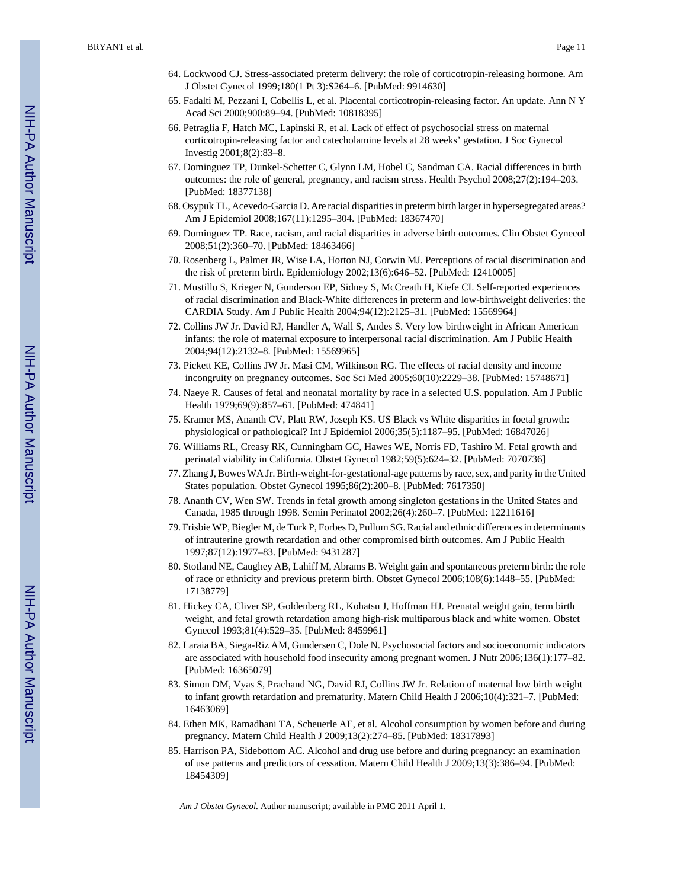- 64. Lockwood CJ. Stress-associated preterm delivery: the role of corticotropin-releasing hormone. Am J Obstet Gynecol 1999;180(1 Pt 3):S264–6. [PubMed: 9914630]
- 65. Fadalti M, Pezzani I, Cobellis L, et al. Placental corticotropin-releasing factor. An update. Ann N Y Acad Sci 2000;900:89–94. [PubMed: 10818395]
- 66. Petraglia F, Hatch MC, Lapinski R, et al. Lack of effect of psychosocial stress on maternal corticotropin-releasing factor and catecholamine levels at 28 weeks' gestation. J Soc Gynecol Investig 2001;8(2):83–8.
- 67. Dominguez TP, Dunkel-Schetter C, Glynn LM, Hobel C, Sandman CA. Racial differences in birth outcomes: the role of general, pregnancy, and racism stress. Health Psychol 2008;27(2):194–203. [PubMed: 18377138]
- 68. Osypuk TL, Acevedo-Garcia D. Are racial disparities in preterm birth larger in hypersegregated areas? Am J Epidemiol 2008;167(11):1295–304. [PubMed: 18367470]
- 69. Dominguez TP. Race, racism, and racial disparities in adverse birth outcomes. Clin Obstet Gynecol 2008;51(2):360–70. [PubMed: 18463466]
- 70. Rosenberg L, Palmer JR, Wise LA, Horton NJ, Corwin MJ. Perceptions of racial discrimination and the risk of preterm birth. Epidemiology 2002;13(6):646–52. [PubMed: 12410005]
- 71. Mustillo S, Krieger N, Gunderson EP, Sidney S, McCreath H, Kiefe CI. Self-reported experiences of racial discrimination and Black-White differences in preterm and low-birthweight deliveries: the CARDIA Study. Am J Public Health 2004;94(12):2125–31. [PubMed: 15569964]
- 72. Collins JW Jr. David RJ, Handler A, Wall S, Andes S. Very low birthweight in African American infants: the role of maternal exposure to interpersonal racial discrimination. Am J Public Health 2004;94(12):2132–8. [PubMed: 15569965]
- 73. Pickett KE, Collins JW Jr. Masi CM, Wilkinson RG. The effects of racial density and income incongruity on pregnancy outcomes. Soc Sci Med 2005;60(10):2229–38. [PubMed: 15748671]
- 74. Naeye R. Causes of fetal and neonatal mortality by race in a selected U.S. population. Am J Public Health 1979;69(9):857–61. [PubMed: 474841]
- 75. Kramer MS, Ananth CV, Platt RW, Joseph KS. US Black vs White disparities in foetal growth: physiological or pathological? Int J Epidemiol 2006;35(5):1187–95. [PubMed: 16847026]
- 76. Williams RL, Creasy RK, Cunningham GC, Hawes WE, Norris FD, Tashiro M. Fetal growth and perinatal viability in California. Obstet Gynecol 1982;59(5):624–32. [PubMed: 7070736]
- 77. Zhang J, Bowes WA Jr. Birth-weight-for-gestational-age patterns by race, sex, and parity in the United States population. Obstet Gynecol 1995;86(2):200–8. [PubMed: 7617350]
- 78. Ananth CV, Wen SW. Trends in fetal growth among singleton gestations in the United States and Canada, 1985 through 1998. Semin Perinatol 2002;26(4):260–7. [PubMed: 12211616]
- 79. Frisbie WP, Biegler M, de Turk P, Forbes D, Pullum SG. Racial and ethnic differences in determinants of intrauterine growth retardation and other compromised birth outcomes. Am J Public Health 1997;87(12):1977–83. [PubMed: 9431287]
- 80. Stotland NE, Caughey AB, Lahiff M, Abrams B. Weight gain and spontaneous preterm birth: the role of race or ethnicity and previous preterm birth. Obstet Gynecol 2006;108(6):1448–55. [PubMed: 17138779]
- 81. Hickey CA, Cliver SP, Goldenberg RL, Kohatsu J, Hoffman HJ. Prenatal weight gain, term birth weight, and fetal growth retardation among high-risk multiparous black and white women. Obstet Gynecol 1993;81(4):529–35. [PubMed: 8459961]
- 82. Laraia BA, Siega-Riz AM, Gundersen C, Dole N. Psychosocial factors and socioeconomic indicators are associated with household food insecurity among pregnant women. J Nutr 2006;136(1):177–82. [PubMed: 16365079]
- 83. Simon DM, Vyas S, Prachand NG, David RJ, Collins JW Jr. Relation of maternal low birth weight to infant growth retardation and prematurity. Matern Child Health J 2006;10(4):321–7. [PubMed: 16463069]
- 84. Ethen MK, Ramadhani TA, Scheuerle AE, et al. Alcohol consumption by women before and during pregnancy. Matern Child Health J 2009;13(2):274–85. [PubMed: 18317893]
- 85. Harrison PA, Sidebottom AC. Alcohol and drug use before and during pregnancy: an examination of use patterns and predictors of cessation. Matern Child Health J 2009;13(3):386–94. [PubMed: 18454309]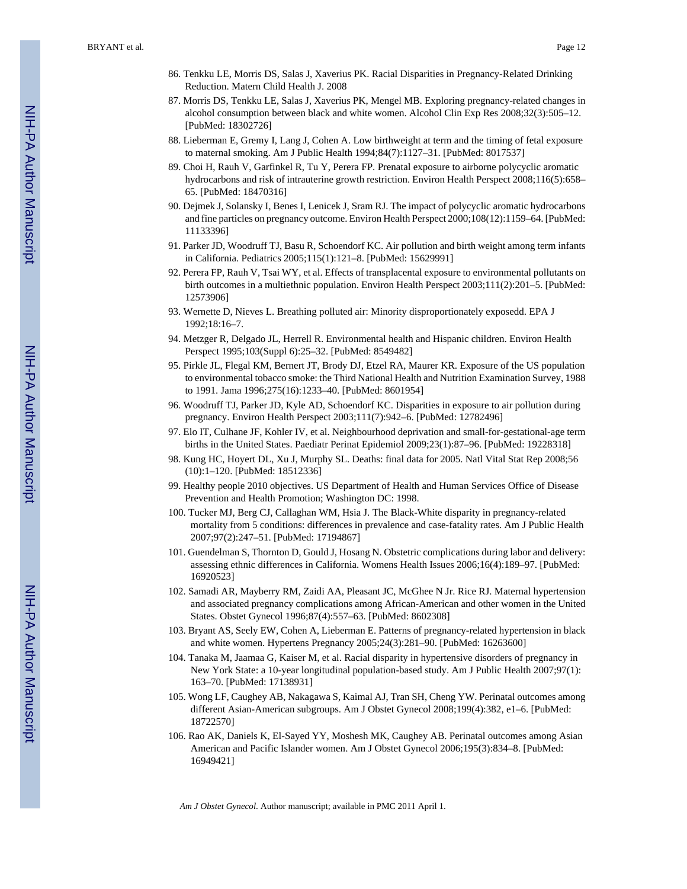- 86. Tenkku LE, Morris DS, Salas J, Xaverius PK. Racial Disparities in Pregnancy-Related Drinking Reduction. Matern Child Health J. 2008
- 87. Morris DS, Tenkku LE, Salas J, Xaverius PK, Mengel MB. Exploring pregnancy-related changes in alcohol consumption between black and white women. Alcohol Clin Exp Res 2008;32(3):505–12. [PubMed: 18302726]
- 88. Lieberman E, Gremy I, Lang J, Cohen A. Low birthweight at term and the timing of fetal exposure to maternal smoking. Am J Public Health 1994;84(7):1127–31. [PubMed: 8017537]
- 89. Choi H, Rauh V, Garfinkel R, Tu Y, Perera FP. Prenatal exposure to airborne polycyclic aromatic hydrocarbons and risk of intrauterine growth restriction. Environ Health Perspect 2008;116(5):658– 65. [PubMed: 18470316]
- 90. Dejmek J, Solansky I, Benes I, Lenicek J, Sram RJ. The impact of polycyclic aromatic hydrocarbons and fine particles on pregnancy outcome. Environ Health Perspect 2000;108(12):1159–64. [PubMed: 11133396]
- 91. Parker JD, Woodruff TJ, Basu R, Schoendorf KC. Air pollution and birth weight among term infants in California. Pediatrics 2005;115(1):121–8. [PubMed: 15629991]
- 92. Perera FP, Rauh V, Tsai WY, et al. Effects of transplacental exposure to environmental pollutants on birth outcomes in a multiethnic population. Environ Health Perspect 2003;111(2):201–5. [PubMed: 12573906]
- 93. Wernette D, Nieves L. Breathing polluted air: Minority disproportionately exposedd. EPA J 1992;18:16–7.
- 94. Metzger R, Delgado JL, Herrell R. Environmental health and Hispanic children. Environ Health Perspect 1995;103(Suppl 6):25–32. [PubMed: 8549482]
- 95. Pirkle JL, Flegal KM, Bernert JT, Brody DJ, Etzel RA, Maurer KR. Exposure of the US population to environmental tobacco smoke: the Third National Health and Nutrition Examination Survey, 1988 to 1991. Jama 1996;275(16):1233–40. [PubMed: 8601954]
- 96. Woodruff TJ, Parker JD, Kyle AD, Schoendorf KC. Disparities in exposure to air pollution during pregnancy. Environ Health Perspect 2003;111(7):942–6. [PubMed: 12782496]
- 97. Elo IT, Culhane JF, Kohler IV, et al. Neighbourhood deprivation and small-for-gestational-age term births in the United States. Paediatr Perinat Epidemiol 2009;23(1):87–96. [PubMed: 19228318]
- 98. Kung HC, Hoyert DL, Xu J, Murphy SL. Deaths: final data for 2005. Natl Vital Stat Rep 2008;56 (10):1–120. [PubMed: 18512336]
- 99. Healthy people 2010 objectives. US Department of Health and Human Services Office of Disease Prevention and Health Promotion; Washington DC: 1998.
- 100. Tucker MJ, Berg CJ, Callaghan WM, Hsia J. The Black-White disparity in pregnancy-related mortality from 5 conditions: differences in prevalence and case-fatality rates. Am J Public Health 2007;97(2):247–51. [PubMed: 17194867]
- 101. Guendelman S, Thornton D, Gould J, Hosang N. Obstetric complications during labor and delivery: assessing ethnic differences in California. Womens Health Issues 2006;16(4):189–97. [PubMed: 16920523]
- 102. Samadi AR, Mayberry RM, Zaidi AA, Pleasant JC, McGhee N Jr. Rice RJ. Maternal hypertension and associated pregnancy complications among African-American and other women in the United States. Obstet Gynecol 1996;87(4):557–63. [PubMed: 8602308]
- 103. Bryant AS, Seely EW, Cohen A, Lieberman E. Patterns of pregnancy-related hypertension in black and white women. Hypertens Pregnancy 2005;24(3):281–90. [PubMed: 16263600]
- 104. Tanaka M, Jaamaa G, Kaiser M, et al. Racial disparity in hypertensive disorders of pregnancy in New York State: a 10-year longitudinal population-based study. Am J Public Health 2007;97(1): 163–70. [PubMed: 17138931]
- 105. Wong LF, Caughey AB, Nakagawa S, Kaimal AJ, Tran SH, Cheng YW. Perinatal outcomes among different Asian-American subgroups. Am J Obstet Gynecol 2008;199(4):382, e1–6. [PubMed: 18722570]
- 106. Rao AK, Daniels K, El-Sayed YY, Moshesh MK, Caughey AB. Perinatal outcomes among Asian American and Pacific Islander women. Am J Obstet Gynecol 2006;195(3):834–8. [PubMed: 16949421]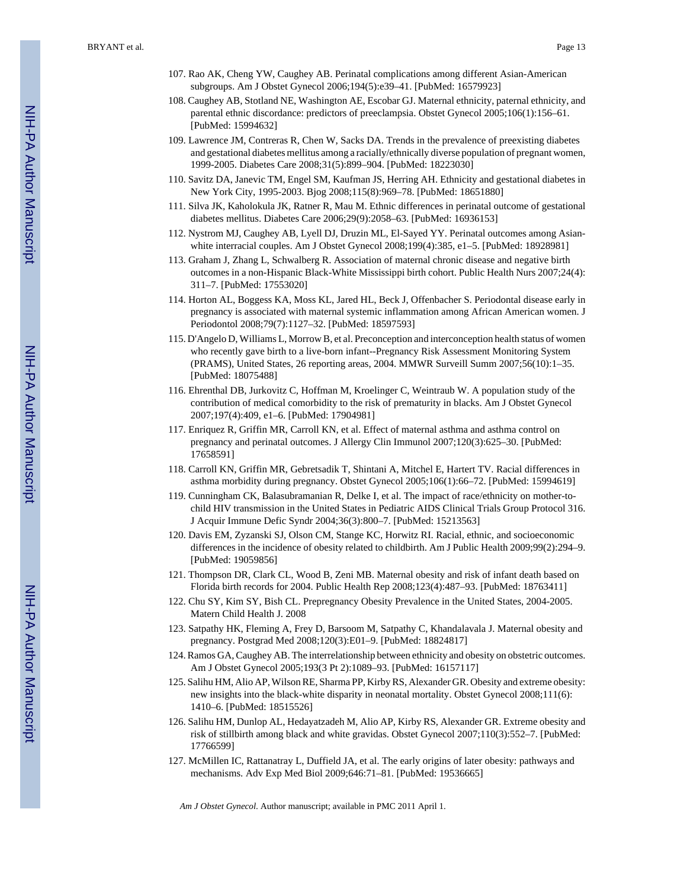- 107. Rao AK, Cheng YW, Caughey AB. Perinatal complications among different Asian-American subgroups. Am J Obstet Gynecol 2006;194(5):e39–41. [PubMed: 16579923]
- 108. Caughey AB, Stotland NE, Washington AE, Escobar GJ. Maternal ethnicity, paternal ethnicity, and parental ethnic discordance: predictors of preeclampsia. Obstet Gynecol 2005;106(1):156–61. [PubMed: 15994632]
- 109. Lawrence JM, Contreras R, Chen W, Sacks DA. Trends in the prevalence of preexisting diabetes and gestational diabetes mellitus among a racially/ethnically diverse population of pregnant women, 1999-2005. Diabetes Care 2008;31(5):899–904. [PubMed: 18223030]
- 110. Savitz DA, Janevic TM, Engel SM, Kaufman JS, Herring AH. Ethnicity and gestational diabetes in New York City, 1995-2003. Bjog 2008;115(8):969–78. [PubMed: 18651880]
- 111. Silva JK, Kaholokula JK, Ratner R, Mau M. Ethnic differences in perinatal outcome of gestational diabetes mellitus. Diabetes Care 2006;29(9):2058–63. [PubMed: 16936153]
- 112. Nystrom MJ, Caughey AB, Lyell DJ, Druzin ML, El-Sayed YY. Perinatal outcomes among Asianwhite interracial couples. Am J Obstet Gynecol 2008;199(4):385, e1–5. [PubMed: 18928981]
- 113. Graham J, Zhang L, Schwalberg R. Association of maternal chronic disease and negative birth outcomes in a non-Hispanic Black-White Mississippi birth cohort. Public Health Nurs 2007;24(4): 311–7. [PubMed: 17553020]
- 114. Horton AL, Boggess KA, Moss KL, Jared HL, Beck J, Offenbacher S. Periodontal disease early in pregnancy is associated with maternal systemic inflammation among African American women. J Periodontol 2008;79(7):1127–32. [PubMed: 18597593]
- 115. D'Angelo D, Williams L, Morrow B, et al. Preconception and interconception health status of women who recently gave birth to a live-born infant--Pregnancy Risk Assessment Monitoring System (PRAMS), United States, 26 reporting areas, 2004. MMWR Surveill Summ 2007;56(10):1–35. [PubMed: 18075488]
- 116. Ehrenthal DB, Jurkovitz C, Hoffman M, Kroelinger C, Weintraub W. A population study of the contribution of medical comorbidity to the risk of prematurity in blacks. Am J Obstet Gynecol 2007;197(4):409, e1–6. [PubMed: 17904981]
- 117. Enriquez R, Griffin MR, Carroll KN, et al. Effect of maternal asthma and asthma control on pregnancy and perinatal outcomes. J Allergy Clin Immunol 2007;120(3):625–30. [PubMed: 17658591]
- 118. Carroll KN, Griffin MR, Gebretsadik T, Shintani A, Mitchel E, Hartert TV. Racial differences in asthma morbidity during pregnancy. Obstet Gynecol 2005;106(1):66–72. [PubMed: 15994619]
- 119. Cunningham CK, Balasubramanian R, Delke I, et al. The impact of race/ethnicity on mother-tochild HIV transmission in the United States in Pediatric AIDS Clinical Trials Group Protocol 316. J Acquir Immune Defic Syndr 2004;36(3):800–7. [PubMed: 15213563]
- 120. Davis EM, Zyzanski SJ, Olson CM, Stange KC, Horwitz RI. Racial, ethnic, and socioeconomic differences in the incidence of obesity related to childbirth. Am J Public Health 2009;99(2):294–9. [PubMed: 19059856]
- 121. Thompson DR, Clark CL, Wood B, Zeni MB. Maternal obesity and risk of infant death based on Florida birth records for 2004. Public Health Rep 2008;123(4):487–93. [PubMed: 18763411]
- 122. Chu SY, Kim SY, Bish CL. Prepregnancy Obesity Prevalence in the United States, 2004-2005. Matern Child Health J. 2008
- 123. Satpathy HK, Fleming A, Frey D, Barsoom M, Satpathy C, Khandalavala J. Maternal obesity and pregnancy. Postgrad Med 2008;120(3):E01–9. [PubMed: 18824817]
- 124. Ramos GA, Caughey AB. The interrelationship between ethnicity and obesity on obstetric outcomes. Am J Obstet Gynecol 2005;193(3 Pt 2):1089–93. [PubMed: 16157117]
- 125. Salihu HM, Alio AP, Wilson RE, Sharma PP, Kirby RS, Alexander GR. Obesity and extreme obesity: new insights into the black-white disparity in neonatal mortality. Obstet Gynecol 2008;111(6): 1410–6. [PubMed: 18515526]
- 126. Salihu HM, Dunlop AL, Hedayatzadeh M, Alio AP, Kirby RS, Alexander GR. Extreme obesity and risk of stillbirth among black and white gravidas. Obstet Gynecol 2007;110(3):552–7. [PubMed: 17766599]
- 127. McMillen IC, Rattanatray L, Duffield JA, et al. The early origins of later obesity: pathways and mechanisms. Adv Exp Med Biol 2009;646:71–81. [PubMed: 19536665]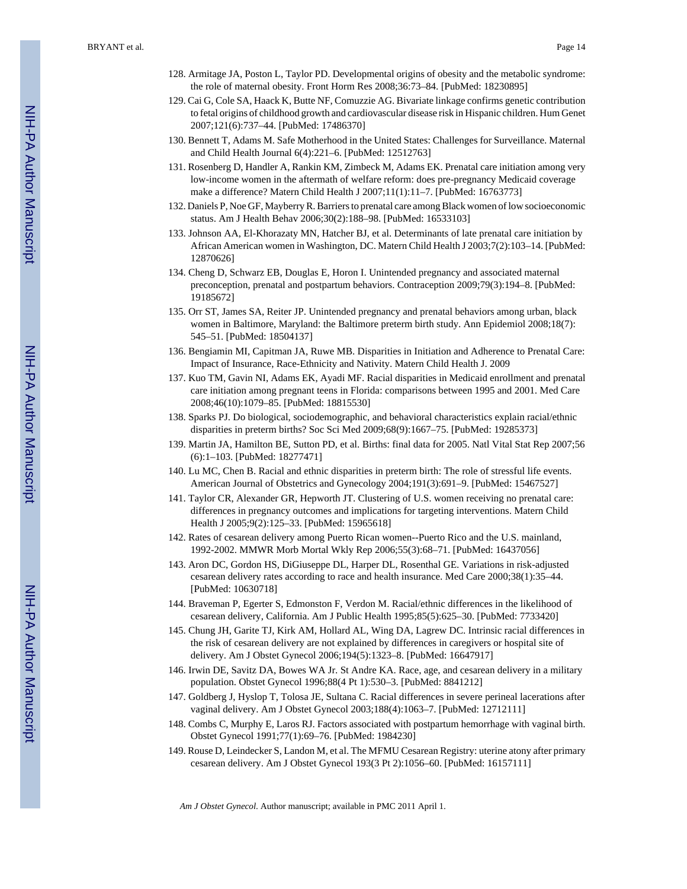- 128. Armitage JA, Poston L, Taylor PD. Developmental origins of obesity and the metabolic syndrome: the role of maternal obesity. Front Horm Res 2008;36:73–84. [PubMed: 18230895]
- 129. Cai G, Cole SA, Haack K, Butte NF, Comuzzie AG. Bivariate linkage confirms genetic contribution to fetal origins of childhood growth and cardiovascular disease risk in Hispanic children. Hum Genet 2007;121(6):737–44. [PubMed: 17486370]
- 130. Bennett T, Adams M. Safe Motherhood in the United States: Challenges for Surveillance. Maternal and Child Health Journal 6(4):221–6. [PubMed: 12512763]
- 131. Rosenberg D, Handler A, Rankin KM, Zimbeck M, Adams EK. Prenatal care initiation among very low-income women in the aftermath of welfare reform: does pre-pregnancy Medicaid coverage make a difference? Matern Child Health J 2007;11(1):11–7. [PubMed: 16763773]
- 132. Daniels P, Noe GF, Mayberry R. Barriers to prenatal care among Black women of low socioeconomic status. Am J Health Behav 2006;30(2):188–98. [PubMed: 16533103]
- 133. Johnson AA, El-Khorazaty MN, Hatcher BJ, et al. Determinants of late prenatal care initiation by African American women in Washington, DC. Matern Child Health J 2003;7(2):103–14. [PubMed: 12870626]
- 134. Cheng D, Schwarz EB, Douglas E, Horon I. Unintended pregnancy and associated maternal preconception, prenatal and postpartum behaviors. Contraception 2009;79(3):194–8. [PubMed: 19185672]
- 135. Orr ST, James SA, Reiter JP. Unintended pregnancy and prenatal behaviors among urban, black women in Baltimore, Maryland: the Baltimore preterm birth study. Ann Epidemiol 2008;18(7): 545–51. [PubMed: 18504137]
- 136. Bengiamin MI, Capitman JA, Ruwe MB. Disparities in Initiation and Adherence to Prenatal Care: Impact of Insurance, Race-Ethnicity and Nativity. Matern Child Health J. 2009
- 137. Kuo TM, Gavin NI, Adams EK, Ayadi MF. Racial disparities in Medicaid enrollment and prenatal care initiation among pregnant teens in Florida: comparisons between 1995 and 2001. Med Care 2008;46(10):1079–85. [PubMed: 18815530]
- 138. Sparks PJ. Do biological, sociodemographic, and behavioral characteristics explain racial/ethnic disparities in preterm births? Soc Sci Med 2009;68(9):1667–75. [PubMed: 19285373]
- 139. Martin JA, Hamilton BE, Sutton PD, et al. Births: final data for 2005. Natl Vital Stat Rep 2007;56 (6):1–103. [PubMed: 18277471]
- 140. Lu MC, Chen B. Racial and ethnic disparities in preterm birth: The role of stressful life events. American Journal of Obstetrics and Gynecology 2004;191(3):691–9. [PubMed: 15467527]
- 141. Taylor CR, Alexander GR, Hepworth JT. Clustering of U.S. women receiving no prenatal care: differences in pregnancy outcomes and implications for targeting interventions. Matern Child Health J 2005;9(2):125–33. [PubMed: 15965618]
- 142. Rates of cesarean delivery among Puerto Rican women--Puerto Rico and the U.S. mainland, 1992-2002. MMWR Morb Mortal Wkly Rep 2006;55(3):68–71. [PubMed: 16437056]
- 143. Aron DC, Gordon HS, DiGiuseppe DL, Harper DL, Rosenthal GE. Variations in risk-adjusted cesarean delivery rates according to race and health insurance. Med Care 2000;38(1):35–44. [PubMed: 10630718]
- 144. Braveman P, Egerter S, Edmonston F, Verdon M. Racial/ethnic differences in the likelihood of cesarean delivery, California. Am J Public Health 1995;85(5):625–30. [PubMed: 7733420]
- 145. Chung JH, Garite TJ, Kirk AM, Hollard AL, Wing DA, Lagrew DC. Intrinsic racial differences in the risk of cesarean delivery are not explained by differences in caregivers or hospital site of delivery. Am J Obstet Gynecol 2006;194(5):1323–8. [PubMed: 16647917]
- 146. Irwin DE, Savitz DA, Bowes WA Jr. St Andre KA. Race, age, and cesarean delivery in a military population. Obstet Gynecol 1996;88(4 Pt 1):530–3. [PubMed: 8841212]
- 147. Goldberg J, Hyslop T, Tolosa JE, Sultana C. Racial differences in severe perineal lacerations after vaginal delivery. Am J Obstet Gynecol 2003;188(4):1063–7. [PubMed: 12712111]
- 148. Combs C, Murphy E, Laros RJ. Factors associated with postpartum hemorrhage with vaginal birth. Obstet Gynecol 1991;77(1):69–76. [PubMed: 1984230]
- 149. Rouse D, Leindecker S, Landon M, et al. The MFMU Cesarean Registry: uterine atony after primary cesarean delivery. Am J Obstet Gynecol 193(3 Pt 2):1056–60. [PubMed: 16157111]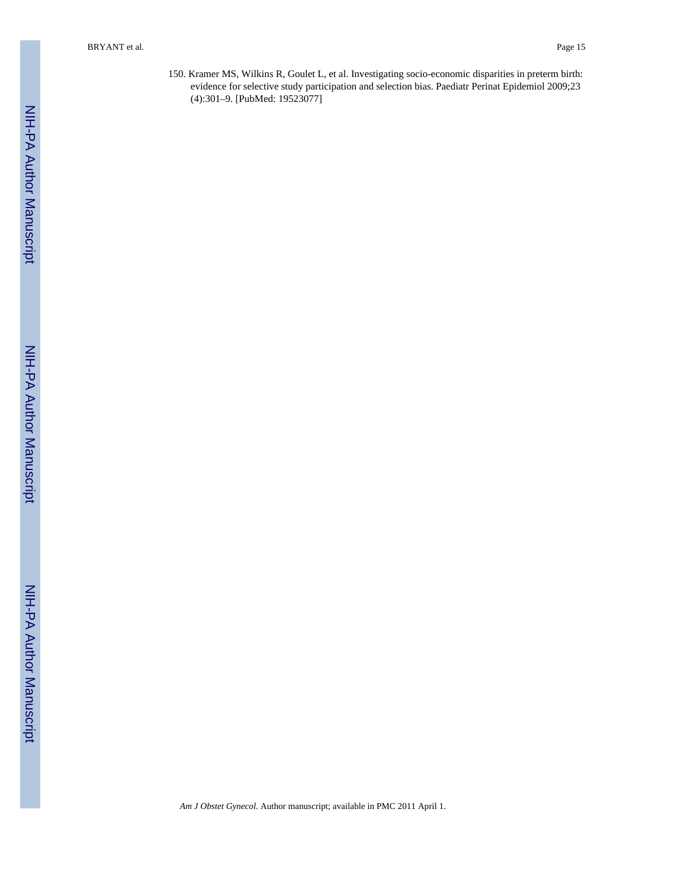150. Kramer MS, Wilkins R, Goulet L, et al. Investigating socio-economic disparities in preterm birth: evidence for selective study participation and selection bias. Paediatr Perinat Epidemiol 2009;23 (4):301–9. [PubMed: 19523077]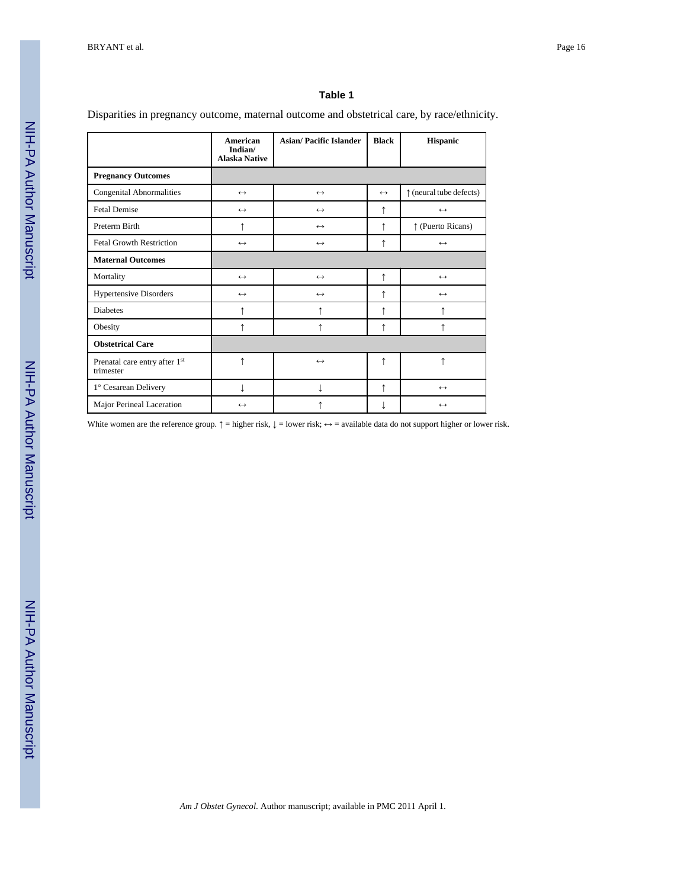#### **Table 1**

Disparities in pregnancy outcome, maternal outcome and obstetrical care, by race/ethnicity.

|                                            | American<br>Indian/<br><b>Alaska Native</b> | <b>Asian/Pacific Islander</b> | <b>Black</b>      | <b>Hispanic</b>                  |
|--------------------------------------------|---------------------------------------------|-------------------------------|-------------------|----------------------------------|
| <b>Pregnancy Outcomes</b>                  |                                             |                               |                   |                                  |
| <b>Congenital Abnormalities</b>            | $\leftrightarrow$                           | $\leftrightarrow$             | $\leftrightarrow$ | $\uparrow$ (neural tube defects) |
| <b>Fetal Demise</b>                        | $\leftrightarrow$                           | $\leftrightarrow$             | ↑                 | $\leftrightarrow$                |
| Preterm Birth                              | ↑                                           | $\leftrightarrow$             | ↑                 | ↑ (Puerto Ricans)                |
| <b>Fetal Growth Restriction</b>            | $\leftrightarrow$                           | $\leftrightarrow$             | ↑                 | $\leftrightarrow$                |
| <b>Maternal Outcomes</b>                   |                                             |                               |                   |                                  |
| Mortality                                  | $\leftrightarrow$                           | $\leftrightarrow$             | ↑                 | $\leftrightarrow$                |
| <b>Hypertensive Disorders</b>              | $\leftrightarrow$                           | $\leftrightarrow$             | ↑                 | $\leftrightarrow$                |
| <b>Diabetes</b>                            | ↑                                           | ↑                             | ↑                 | $\uparrow$                       |
| Obesity                                    | ↑                                           | ↑                             | ↑                 | ↑                                |
| <b>Obstetrical Care</b>                    |                                             |                               |                   |                                  |
| Prenatal care entry after 1st<br>trimester | ↑                                           | $\leftrightarrow$             | ↑                 | $\uparrow$                       |
| 1° Cesarean Delivery                       |                                             |                               | ↑                 | $\leftrightarrow$                |
| Major Perineal Laceration                  | $\leftrightarrow$                           |                               |                   | $\leftrightarrow$                |

White women are the reference group.  $\uparrow$  = higher risk,  $\downarrow$  = lower risk;  $\leftrightarrow$  = available data do not support higher or lower risk.

NIH-PA Author Manuscript

NIH-PA Author Manuscript